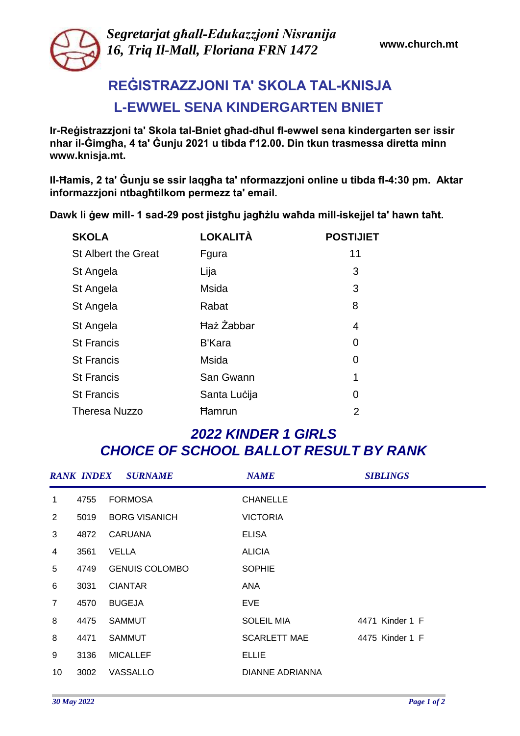

*Segretarjat għall-Edukazzjoni Nisranija 16, Triq Il-Mall, Floriana FRN 1472* 

## **REĠISTRAZZJONI TA' SKOLA TAL-KNISJA L-EWWEL SENA KINDERGARTEN BNIET**

**Ir-Reġistrazzjoni ta' Skola tal-Bniet għad-dħul fl-ewwel sena kindergarten ser issir nhar il-Ġimgħa, 4 ta' Ġunju 2021 u tibda f'12.00. Din tkun trasmessa diretta minn www.knisja.mt.**

**Il-Ħamis, 2 ta' Ġunju se ssir laqgħa ta' nformazzjoni online u tibda fl-4:30 pm. Aktar informazzjoni ntbagħtilkom permezz ta' email.**

**Dawk li ġew mill- 1 sad-29 post jistgħu jagħżlu waħda mill-iskejjel ta' hawn taħt.**

| <b>SKOLA</b>               | <b>LOKALITÀ</b>   | <b>POSTIJIET</b> |
|----------------------------|-------------------|------------------|
| <b>St Albert the Great</b> | Fgura             | 11               |
| St Angela                  | Lija              | 3                |
| St Angela                  | Msida             | 3                |
| St Angela                  | Rabat             | 8                |
| St Angela                  | <b>Haz Zabbar</b> | 4                |
| <b>St Francis</b>          | <b>B'Kara</b>     | 0                |
| <b>St Francis</b>          | Msida             | 0                |
| <b>St Francis</b>          | San Gwann         | 1                |
| <b>St Francis</b>          | Santa Lucija      | 0                |
| <b>Theresa Nuzzo</b>       | <b>Hamrun</b>     | 2                |

## *2022 KINDER 1 GIRLS CHOICE OF SCHOOL BALLOT RESULT BY RANK*

|                |      | <b>RANK INDEX SURNAME</b> | <b>NAME</b>            | <b>SIBLINGS</b> |
|----------------|------|---------------------------|------------------------|-----------------|
| $\mathbf 1$    | 4755 | <b>FORMOSA</b>            | <b>CHANELLE</b>        |                 |
| $\overline{2}$ | 5019 | <b>BORG VISANICH</b>      | <b>VICTORIA</b>        |                 |
| 3              | 4872 | <b>CARUANA</b>            | <b>ELISA</b>           |                 |
| 4              | 3561 | <b>VELLA</b>              | <b>ALICIA</b>          |                 |
| 5              | 4749 | <b>GENUIS COLOMBO</b>     | <b>SOPHIE</b>          |                 |
| 6              | 3031 | <b>CIANTAR</b>            | ANA                    |                 |
| $\overline{7}$ | 4570 | <b>BUGEJA</b>             | <b>EVE</b>             |                 |
| 8              | 4475 | <b>SAMMUT</b>             | <b>SOLEIL MIA</b>      | 4471 Kinder 1 F |
| 8              | 4471 | <b>SAMMUT</b>             | <b>SCARLETT MAE</b>    | 4475 Kinder 1 F |
| 9              | 3136 | <b>MICALLEF</b>           | <b>ELLIE</b>           |                 |
| 10             | 3002 | <b>VASSALLO</b>           | <b>DIANNE ADRIANNA</b> |                 |
|                |      |                           |                        |                 |